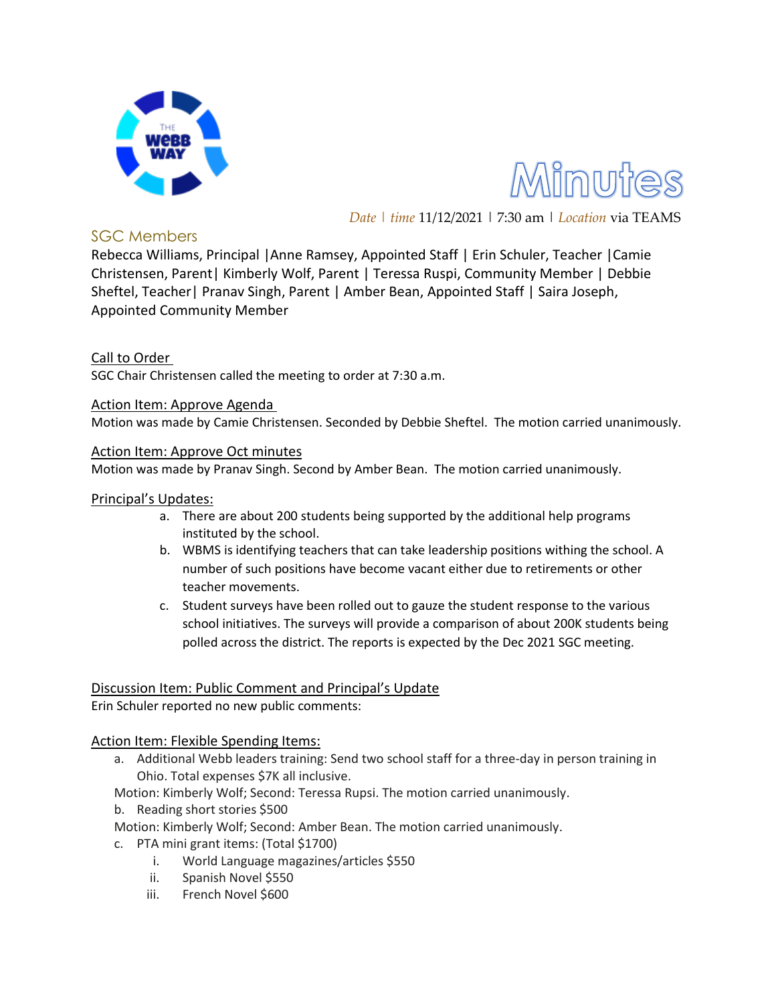



*Date | time* 11/12/2021 | 7:30 am | *Location* via TEAMS

## SGC Members

Rebecca Williams, Principal |Anne Ramsey, Appointed Staff | Erin Schuler, Teacher |Camie Christensen, Parent| Kimberly Wolf, Parent | Teressa Ruspi, Community Member | Debbie Sheftel, Teacher| Pranav Singh, Parent | Amber Bean, Appointed Staff | Saira Joseph, Appointed Community Member

## Call to Order

SGC Chair Christensen called the meeting to order at 7:30 a.m.

Action Item: Approve Agenda

Motion was made by Camie Christensen. Seconded by Debbie Sheftel. The motion carried unanimously.

#### Action Item: Approve Oct minutes

Motion was made by Pranav Singh. Second by Amber Bean. The motion carried unanimously.

#### Principal's Updates:

- a. There are about 200 students being supported by the additional help programs instituted by the school.
- b. WBMS is identifying teachers that can take leadership positions withing the school. A number of such positions have become vacant either due to retirements or other teacher movements.
- c. Student surveys have been rolled out to gauze the student response to the various school initiatives. The surveys will provide a comparison of about 200K students being polled across the district. The reports is expected by the Dec 2021 SGC meeting.

# Discussion Item: Public Comment and Principal's Update

Erin Schuler reported no new public comments:

### Action Item: Flexible Spending Items:

- a. Additional Webb leaders training: Send two school staff for a three-day in person training in Ohio. Total expenses \$7K all inclusive.
- Motion: Kimberly Wolf; Second: Teressa Rupsi. The motion carried unanimously.
- b. Reading short stories \$500

Motion: Kimberly Wolf; Second: Amber Bean. The motion carried unanimously.

- c. PTA mini grant items: (Total \$1700)
	- i. World Language magazines/articles \$550
	- ii. Spanish Novel \$550
	- iii. French Novel \$600